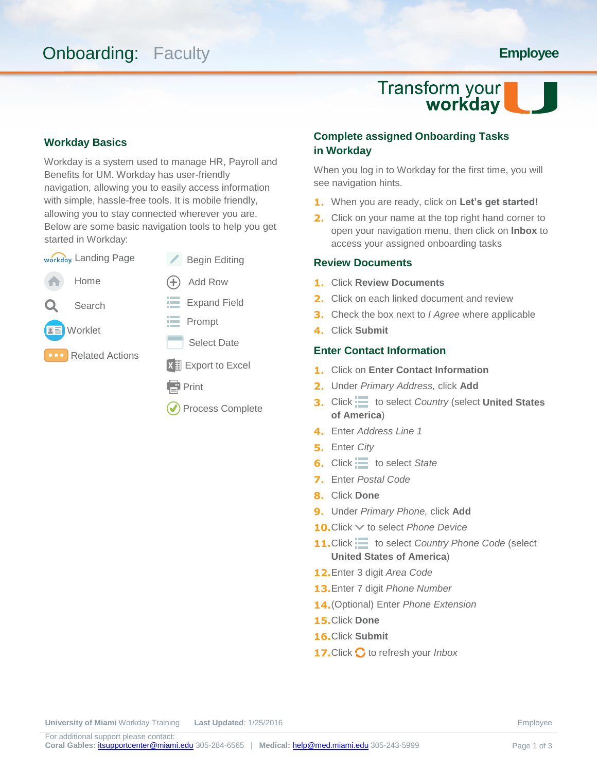## **Onboarding: Faculty <b>Employee**

# Transform your<br>workday

#### **Workday Basics**

Workday is a system used to manage HR, Payroll and Benefits for UM. Workday has user-friendly navigation, allowing you to easily access information with simple, hassle-free tools. It is mobile friendly, allowing you to stay connected wherever you are. Below are some basic navigation tools to help you get started in Workday:



### **Complete assigned Onboarding Tasks in Workday**

When you log in to Workday for the first time, you will see navigation hints.

- **1.** When you are ready, click on **Let's get started!**
- **2.** Click on your name at the top right hand corner to open your navigation menu, then click on **Inbox** to access your assigned onboarding tasks

#### **Review Documents**

- **1.** Click **Review Documents**
- **2.** Click on each linked document and review
- **3.** Check the box next to *I Agree* where applicable
- **4.** Click **Submit**

#### **Enter Contact Information**

- **1.** Click on **Enter Contact Information**
- **2.** Under *Primary Address,* click **Add**
- **3.** Click  $\equiv$  to select *Country* (select **United States of America**)
- **4.** Enter *Address Line 1*
- **5.** Enter *City*
- **6.** Click  $\equiv$  to select *State*
- **7.** Enter *Postal Code*
- **8.** Click **Done**
- **9.** Under *Primary Phone,* click **Add**
- **10.**Click ∨ to select *Phone Device*
- 11. Click  $\equiv$  to select *Country Phone Code* (select **United States of America**)
- **12.**Enter 3 digit *Area Code*
- **13.**Enter 7 digit *Phone Number*
- **14.**(Optional) Enter *Phone Extension*
- **15.**Click **Done**
- **16.**Click **Submit**
- 17. Click  $\bigcirc$  to refresh your *Inbox*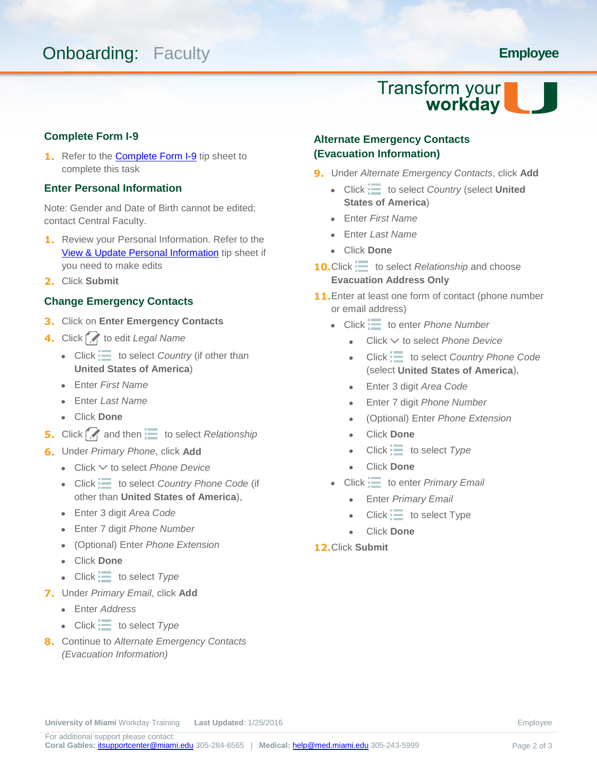## **Onboarding: Faculty <b>Employee Employee**

# Transform your<br>workday

#### **Complete Form I-9**

**1.** Refer to the **Complete Form I-9** tip sheet to complete this task

#### **Enter Personal Information**

Note: Gender and Date of Birth cannot be edited; contact Central Faculty.

- **1.** Review your Personal Information. Refer to the [View & Update Personal Information](https://umshare.miami.edu/web/wda/erpsec/tipsheets/ESS_PersonalInformation_ViewUpdatePersonalInformation.pdf) tip sheet if you need to make edits
- **2.** Click **Submit**

#### **Change Emergency Contacts**

- **3.** Click on **Enter Emergency Contacts**
- **4.** Click **f** to edit *Legal Name* 
	- $\bullet$  Click  $\equiv$  to select *Country* (if other than **United States of America**)
	- Enter *First Name*
	- Enter *Last Name*
	- Click **Done**
- **5.** Click **A** and then to select *Relationship*
- **6.** Under *Primary Phone*, click **Add**
	- Click  $\vee$  to select *Phone Device*
	- Click  $\equiv$  to select *Country Phone Code* (if other than **United States of America**),
	- Enter 3 digit *Area Code*
	- Enter 7 digit *Phone Number*
	- (Optional) Enter *Phone Extension*
	- Click **Done**
	- $\bullet$  Click  $\equiv$  to select *Type*
- **7.** Under *Primary Email*, click **Add**
	- Enter *Address*
	- Click to select *Type*
- **8.** Continue to *Alternate Emergency Contacts (Evacuation Information)*

### **Alternate Emergency Contacts (Evacuation Information)**

- **9.** Under *Alternate Emergency Contacts*, click **Add**
	- Click  $\equiv$  to select *Country* (select **United States of America**)
	- Enter *First Name*
	- Enter *Last Name*
	- Click **Done**
- **10.**Click  $\equiv$  to select *Relationship* and choose **Evacuation Address Only**
- **11.** Enter at least one form of contact (phone number or email address)
	- Click  $\equiv$  to enter *Phone Number* 
		- Click to select *Phone Device*
		- Click  $\equiv$  to select *Country Phone Code* (select **United States of America**),
		- Enter 3 digit *Area Code*
		- Enter 7 digit *Phone Number*
		- (Optional) Enter *Phone Extension*
		- Click **Done**
		- $\bullet$  Click  $\equiv$  to select *Type*
		- Click **Done**
	- Click  $\equiv$  to enter *Primary Email* 
		- Enter *Primary Email*
		- $Click :=$  to select Type
		- Click **Done**
- **12.**Click **Submit**

**University of Miami** Workday Training **Last Updated:** 1/25/2016 **Employee Employee**